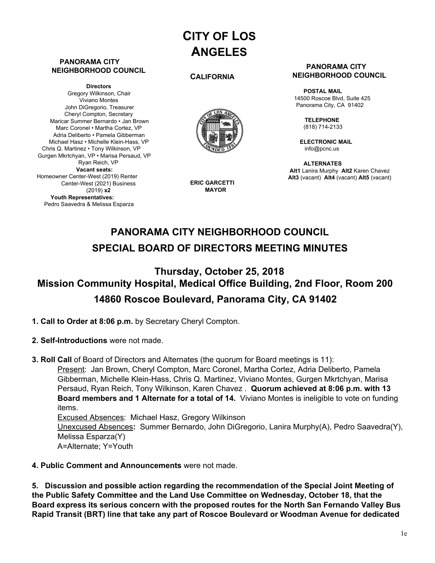# **CITY OF LOS ANGELES**

#### **PANORAMA CITY NEIGHBORHOOD COUNCIL**

**Directors** Gregory Wilkinson, Chair Viviano Montes John DiGregorio, Treasurer Cheryl Compton, Secretary Maricar Summer Bernardo • Jan Brown Marc Coronel • Martha Cortez, VP Adria Deliberto • Pamela Gibberman Michael Hasz • Michelle Klein-Hass, VP Chris Q. Martinez • Tony Wilkinson, VP Gurgen Mkrtchyan, VP • Marisa Persaud, VP Ryan Reich, VP **Vacant seats:** Homeowner Center-West (2019) Renter Center-West (2021) Business (2019) **x2 Youth Representatives:** Pedro Saavedra & Melissa Esparza

#### **CALIFORNIA**



**ERIC GARCETTI MAYOR**

#### **PANORAMA CITY NEIGHBORHOOD COUNCIL**

**POSTAL MAIL** 14500 Roscoe Blvd, Suite 425 Panorama City, CA 91402

> **TELEPHONE** (818) 714-2133

**ELECTRONIC MAIL** [info@pcnc.us](mailto:info@pcnc.us)

**ALTERNATES Alt1** Lanira Murphy **Alt2** Karen Chavez **Alt3** (vacant) **Alt4** (vacant) **Alt5** (vacant)

## **PANORAMA CITY NEIGHBORHOOD COUNCIL SPECIAL BOARD OF DIRECTORS MEETING MINUTES**

## **Thursday, October 25, 2018 Mission Community Hospital, Medical Office Building, 2nd Floor, Room 200 14860 Roscoe Boulevard, Panorama City, CA 91402**

- **1. Call to Order at 8:06 p.m.** by Secretary Cheryl Compton.
- **2. Self-Introductions** were not made.
- **3. Roll Call** of Board of Directors and Alternates (the quorum for Board meetings is 11): Present: Jan Brown, Cheryl Compton, Marc Coronel, Martha Cortez, Adria Deliberto, Pamela Gibberman, Michelle Klein-Hass, Chris Q. Martinez, Viviano Montes, Gurgen Mkrtchyan, Marisa Persaud, Ryan Reich, Tony Wilkinson, Karen Chavez . **Quorum achieved at 8:06 p.m. with 13 Board members and 1 Alternate for a total of 14.** Viviano Montes is ineligible to vote on funding items.

Excused Absences: Michael Hasz, Gregory Wilkinson Unexcused Absences**:** Summer Bernardo, John DiGregorio, Lanira Murphy(A), Pedro Saavedra(Y), Melissa Esparza(Y) A=Alternate; Y=Youth

### **4. Public Comment and Announcements** were not made.

**5. Discussion and possible action regarding the recommendation of the Special Joint Meeting of the Public Safety Committee and the Land Use Committee on Wednesday, October 18, that the Board express its serious concern with the proposed routes for the North San Fernando Valley Bus Rapid Transit (BRT) line that take any part of Roscoe Boulevard or Woodman Avenue for dedicated**